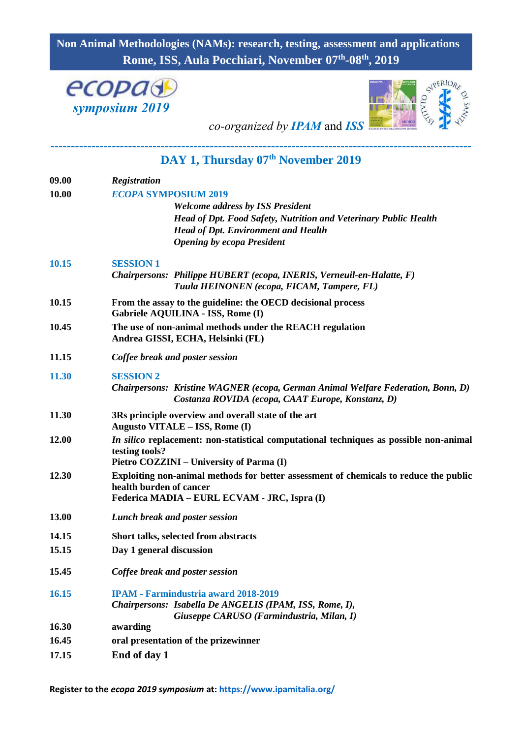## **Non Animal Methodologies (NAMs): research, testing, assessment and applications Rome, ISS, Aula Pocchiari, November 07th -08th , 2019**





*co-organized by IPAM* and *ISS*

**-------------------------------------------------------------------------------------------------------**

## **DAY 1, Thursday 07th November 2019**

| 09.00 | <b>Registration</b>                                                                                              |
|-------|------------------------------------------------------------------------------------------------------------------|
| 10.00 | <b>ECOPA SYMPOSIUM 2019</b>                                                                                      |
|       | <b>Welcome address by ISS President</b>                                                                          |
|       | Head of Dpt. Food Safety, Nutrition and Veterinary Public Health                                                 |
|       | <b>Head of Dpt. Environment and Health</b>                                                                       |
|       | <b>Opening by ecopa President</b>                                                                                |
| 10.15 | <b>SESSION 1</b>                                                                                                 |
|       | Chairpersons: Philippe HUBERT (ecopa, INERIS, Verneuil-en-Halatte, F)                                            |
|       | Tuula HEINONEN (ecopa, FICAM, Tampere, FL)                                                                       |
| 10.15 | From the assay to the guideline: the OECD decisional process                                                     |
|       | Gabriele AQUILINA - ISS, Rome (I)                                                                                |
| 10.45 | The use of non-animal methods under the REACH regulation                                                         |
|       | Andrea GISSI, ECHA, Helsinki (FL)                                                                                |
| 11.15 | Coffee break and poster session                                                                                  |
| 11.30 | <b>SESSION 2</b>                                                                                                 |
|       | Chairpersons: Kristine WAGNER (ecopa, German Animal Welfare Federation, Bonn, D)                                 |
|       | Costanza ROVIDA (ecopa, CAAT Europe, Konstanz, D)                                                                |
| 11.30 | 3Rs principle overview and overall state of the art                                                              |
|       | Augusto VITALE - ISS, Rome (I)                                                                                   |
| 12.00 | <i>In silico</i> replacement: non-statistical computational techniques as possible non-animal                    |
|       | testing tools?                                                                                                   |
|       | Pietro COZZINI – University of Parma (I)                                                                         |
| 12.30 | Exploiting non-animal methods for better assessment of chemicals to reduce the public<br>health burden of cancer |
|       | Federica MADIA - EURL ECVAM - JRC, Ispra (I)                                                                     |
|       |                                                                                                                  |
| 13.00 | Lunch break and poster session                                                                                   |
| 14.15 | Short talks, selected from abstracts                                                                             |
| 15.15 | Day 1 general discussion                                                                                         |
| 15.45 | Coffee break and poster session                                                                                  |
| 16.15 | <b>IPAM - Farmindustria award 2018-2019</b>                                                                      |
|       | Chairpersons: Isabella De ANGELIS (IPAM, ISS, Rome, I),                                                          |
|       | Giuseppe CARUSO (Farmindustria, Milan, I)                                                                        |
| 16.30 | awarding                                                                                                         |
| 16.45 | oral presentation of the prizewinner                                                                             |
| 17.15 | End of day 1                                                                                                     |

**Register to the** *ecopa 2019 symposium* **at:<https://www.ipamitalia.org/>**